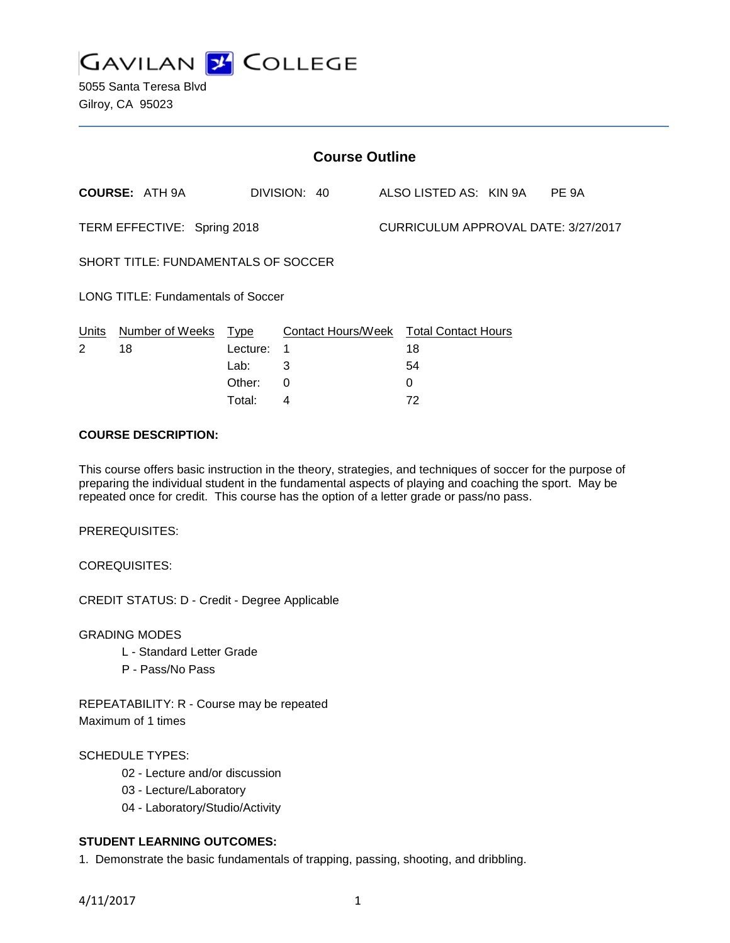

5055 Santa Teresa Blvd Gilroy, CA 95023

| <b>Course Outline</b>               |                       |          |              |  |                                        |  |       |
|-------------------------------------|-----------------------|----------|--------------|--|----------------------------------------|--|-------|
|                                     | <b>COURSE: ATH 9A</b> |          | DIVISION: 40 |  | ALSO LISTED AS: KIN 9A                 |  | PE 9A |
| TERM EFFECTIVE: Spring 2018         |                       |          |              |  | CURRICULUM APPROVAL DATE: 3/27/2017    |  |       |
| SHORT TITLE: FUNDAMENTALS OF SOCCER |                       |          |              |  |                                        |  |       |
| LONG TITLE: Fundamentals of Soccer  |                       |          |              |  |                                        |  |       |
| Units                               | Number of Weeks       | Type     |              |  | Contact Hours/Week Total Contact Hours |  |       |
| 2                                   | 18                    | Lecture: | 1            |  | 18                                     |  |       |
|                                     |                       | Lab:     | 3            |  | 54                                     |  |       |
|                                     |                       | Other:   | 0            |  | 0                                      |  |       |

### **COURSE DESCRIPTION:**

This course offers basic instruction in the theory, strategies, and techniques of soccer for the purpose of preparing the individual student in the fundamental aspects of playing and coaching the sport. May be repeated once for credit. This course has the option of a letter grade or pass/no pass.

Total: 4 72

PREREQUISITES:

COREQUISITES:

CREDIT STATUS: D - Credit - Degree Applicable

GRADING MODES

- L Standard Letter Grade
- P Pass/No Pass

REPEATABILITY: R - Course may be repeated Maximum of 1 times

### SCHEDULE TYPES:

- 02 Lecture and/or discussion
- 03 Lecture/Laboratory
- 04 Laboratory/Studio/Activity

# **STUDENT LEARNING OUTCOMES:**

1. Demonstrate the basic fundamentals of trapping, passing, shooting, and dribbling.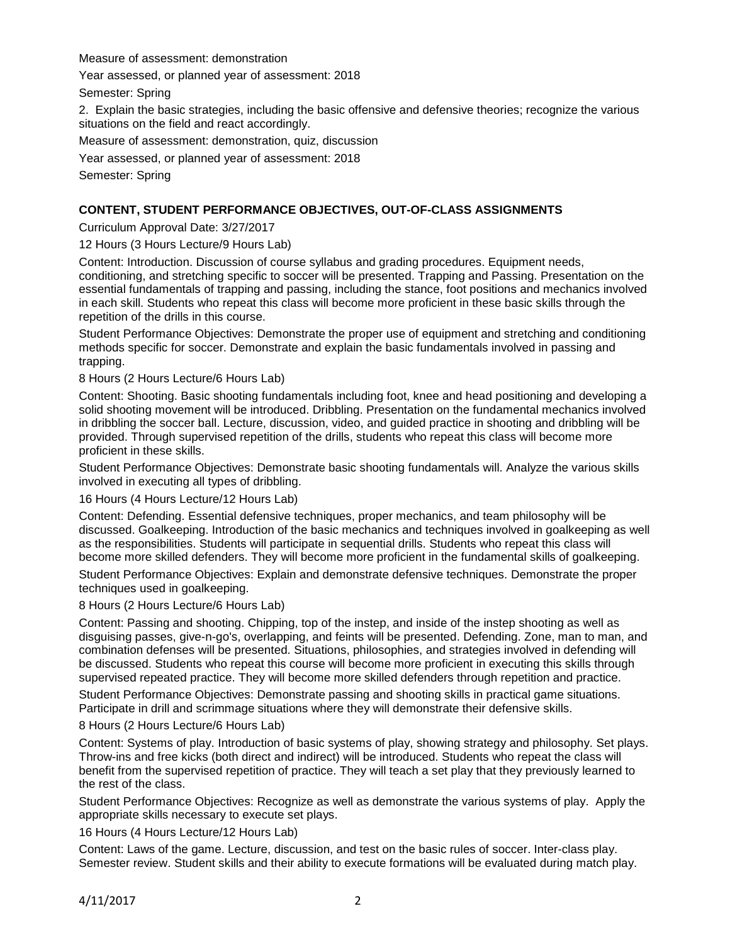Measure of assessment: demonstration

Year assessed, or planned year of assessment: 2018

Semester: Spring

2. Explain the basic strategies, including the basic offensive and defensive theories; recognize the various situations on the field and react accordingly.

Measure of assessment: demonstration, quiz, discussion

Year assessed, or planned year of assessment: 2018

Semester: Spring

### **CONTENT, STUDENT PERFORMANCE OBJECTIVES, OUT-OF-CLASS ASSIGNMENTS**

#### Curriculum Approval Date: 3/27/2017

12 Hours (3 Hours Lecture/9 Hours Lab)

Content: Introduction. Discussion of course syllabus and grading procedures. Equipment needs, conditioning, and stretching specific to soccer will be presented. Trapping and Passing. Presentation on the essential fundamentals of trapping and passing, including the stance, foot positions and mechanics involved in each skill. Students who repeat this class will become more proficient in these basic skills through the repetition of the drills in this course.

Student Performance Objectives: Demonstrate the proper use of equipment and stretching and conditioning methods specific for soccer. Demonstrate and explain the basic fundamentals involved in passing and trapping.

8 Hours (2 Hours Lecture/6 Hours Lab)

Content: Shooting. Basic shooting fundamentals including foot, knee and head positioning and developing a solid shooting movement will be introduced. Dribbling. Presentation on the fundamental mechanics involved in dribbling the soccer ball. Lecture, discussion, video, and guided practice in shooting and dribbling will be provided. Through supervised repetition of the drills, students who repeat this class will become more proficient in these skills.

Student Performance Objectives: Demonstrate basic shooting fundamentals will. Analyze the various skills involved in executing all types of dribbling.

16 Hours (4 Hours Lecture/12 Hours Lab)

Content: Defending. Essential defensive techniques, proper mechanics, and team philosophy will be discussed. Goalkeeping. Introduction of the basic mechanics and techniques involved in goalkeeping as well as the responsibilities. Students will participate in sequential drills. Students who repeat this class will become more skilled defenders. They will become more proficient in the fundamental skills of goalkeeping.

Student Performance Objectives: Explain and demonstrate defensive techniques. Demonstrate the proper techniques used in goalkeeping.

#### 8 Hours (2 Hours Lecture/6 Hours Lab)

Content: Passing and shooting. Chipping, top of the instep, and inside of the instep shooting as well as disguising passes, give-n-go's, overlapping, and feints will be presented. Defending. Zone, man to man, and combination defenses will be presented. Situations, philosophies, and strategies involved in defending will be discussed. Students who repeat this course will become more proficient in executing this skills through supervised repeated practice. They will become more skilled defenders through repetition and practice.

Student Performance Objectives: Demonstrate passing and shooting skills in practical game situations. Participate in drill and scrimmage situations where they will demonstrate their defensive skills.

8 Hours (2 Hours Lecture/6 Hours Lab)

Content: Systems of play. Introduction of basic systems of play, showing strategy and philosophy. Set plays. Throw-ins and free kicks (both direct and indirect) will be introduced. Students who repeat the class will benefit from the supervised repetition of practice. They will teach a set play that they previously learned to the rest of the class.

Student Performance Objectives: Recognize as well as demonstrate the various systems of play. Apply the appropriate skills necessary to execute set plays.

16 Hours (4 Hours Lecture/12 Hours Lab)

Content: Laws of the game. Lecture, discussion, and test on the basic rules of soccer. Inter-class play. Semester review. Student skills and their ability to execute formations will be evaluated during match play.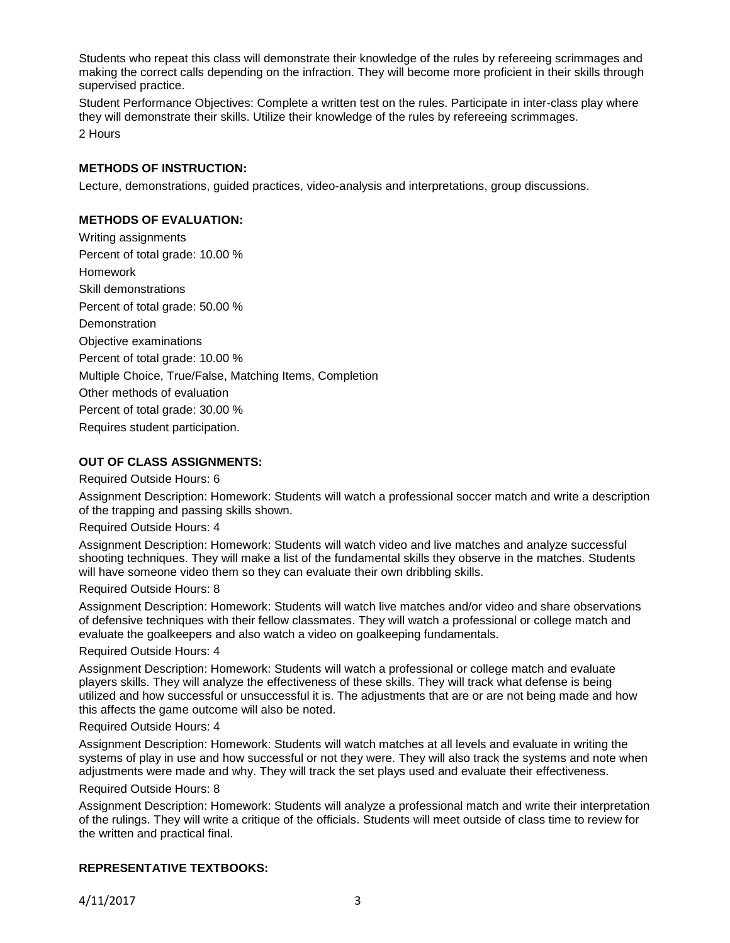Students who repeat this class will demonstrate their knowledge of the rules by refereeing scrimmages and making the correct calls depending on the infraction. They will become more proficient in their skills through supervised practice.

Student Performance Objectives: Complete a written test on the rules. Participate in inter-class play where they will demonstrate their skills. Utilize their knowledge of the rules by refereeing scrimmages. 2 Hours

## **METHODS OF INSTRUCTION:**

Lecture, demonstrations, guided practices, video-analysis and interpretations, group discussions.

### **METHODS OF EVALUATION:**

Writing assignments Percent of total grade: 10.00 % Homework Skill demonstrations Percent of total grade: 50.00 % **Demonstration** Objective examinations Percent of total grade: 10.00 % Multiple Choice, True/False, Matching Items, Completion Other methods of evaluation Percent of total grade: 30.00 % Requires student participation.

### **OUT OF CLASS ASSIGNMENTS:**

Required Outside Hours: 6

Assignment Description: Homework: Students will watch a professional soccer match and write a description of the trapping and passing skills shown.

### Required Outside Hours: 4

Assignment Description: Homework: Students will watch video and live matches and analyze successful shooting techniques. They will make a list of the fundamental skills they observe in the matches. Students will have someone video them so they can evaluate their own dribbling skills.

### Required Outside Hours: 8

Assignment Description: Homework: Students will watch live matches and/or video and share observations of defensive techniques with their fellow classmates. They will watch a professional or college match and evaluate the goalkeepers and also watch a video on goalkeeping fundamentals.

## Required Outside Hours: 4

Assignment Description: Homework: Students will watch a professional or college match and evaluate players skills. They will analyze the effectiveness of these skills. They will track what defense is being utilized and how successful or unsuccessful it is. The adjustments that are or are not being made and how this affects the game outcome will also be noted.

### Required Outside Hours: 4

Assignment Description: Homework: Students will watch matches at all levels and evaluate in writing the systems of play in use and how successful or not they were. They will also track the systems and note when adjustments were made and why. They will track the set plays used and evaluate their effectiveness.

### Required Outside Hours: 8

Assignment Description: Homework: Students will analyze a professional match and write their interpretation of the rulings. They will write a critique of the officials. Students will meet outside of class time to review for the written and practical final.

## **REPRESENTATIVE TEXTBOOKS:**